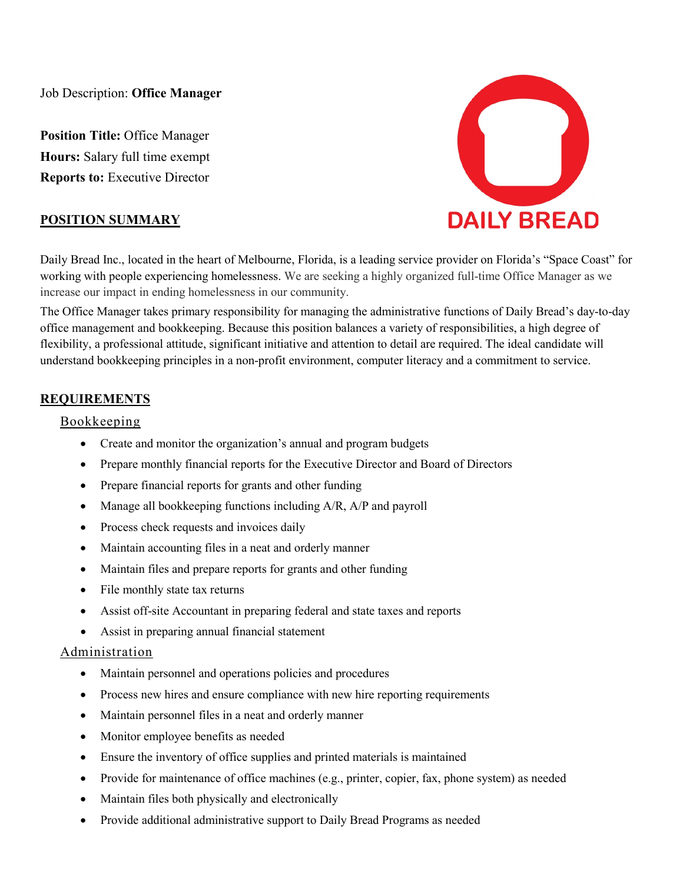Job Description: **Office Manager**

**Position Title: Office Manager Hours:** Salary full time exempt **Reports to:** Executive Director



### **POSITION SUMMARY**

Daily Bread Inc., located in the heart of Melbourne, Florida, is a leading service provider on Florida's "Space Coast" for working with people experiencing homelessness. We are seeking a highly organized full-time Office Manager as we increase our impact in ending homelessness in our community.

The Office Manager takes primary responsibility for managing the administrative functions of Daily Bread's day-to-day office management and bookkeeping. Because this position balances a variety of responsibilities, a high degree of flexibility, a professional attitude, significant initiative and attention to detail are required. The ideal candidate will understand bookkeeping principles in a non-profit environment, computer literacy and a commitment to service.

# **REQUIREMENTS**

#### Bookkeeping

- Create and monitor the organization's annual and program budgets
- Prepare monthly financial reports for the Executive Director and Board of Directors
- Prepare financial reports for grants and other funding
- Manage all bookkeeping functions including A/R, A/P and payroll
- Process check requests and invoices daily
- Maintain accounting files in a neat and orderly manner
- Maintain files and prepare reports for grants and other funding
- File monthly state tax returns
- Assist off-site Accountant in preparing federal and state taxes and reports
- Assist in preparing annual financial statement

### Administration

- Maintain personnel and operations policies and procedures
- Process new hires and ensure compliance with new hire reporting requirements
- Maintain personnel files in a neat and orderly manner
- Monitor employee benefits as needed
- Ensure the inventory of office supplies and printed materials is maintained
- Provide for maintenance of office machines (e.g., printer, copier, fax, phone system) as needed
- Maintain files both physically and electronically
- Provide additional administrative support to Daily Bread Programs as needed